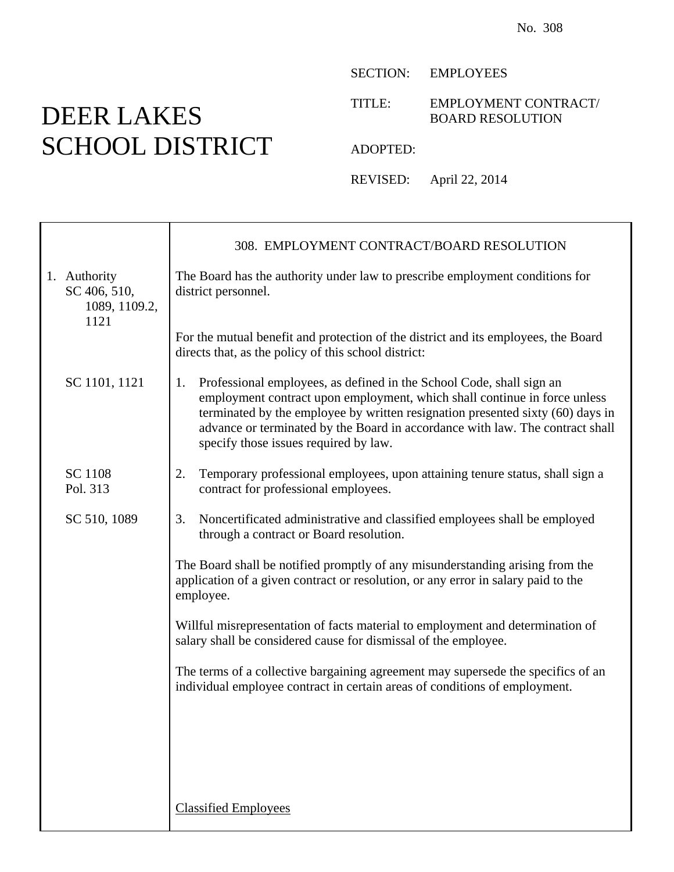## DEER LAKES SCHOOL DISTRICT

Τ

SECTION: EMPLOYEES

TITLE: EMPLOYMENT CONTRACT/ BOARD RESOLUTION

ADOPTED:

REVISED: April 22, 2014

|                                                       | 308. EMPLOYMENT CONTRACT/BOARD RESOLUTION                                                                                                                                                                                                                                                                                                                           |
|-------------------------------------------------------|---------------------------------------------------------------------------------------------------------------------------------------------------------------------------------------------------------------------------------------------------------------------------------------------------------------------------------------------------------------------|
| 1. Authority<br>SC 406, 510,<br>1089, 1109.2,<br>1121 | The Board has the authority under law to prescribe employment conditions for<br>district personnel.                                                                                                                                                                                                                                                                 |
|                                                       | For the mutual benefit and protection of the district and its employees, the Board<br>directs that, as the policy of this school district:                                                                                                                                                                                                                          |
| SC 1101, 1121                                         | Professional employees, as defined in the School Code, shall sign an<br>1.<br>employment contract upon employment, which shall continue in force unless<br>terminated by the employee by written resignation presented sixty (60) days in<br>advance or terminated by the Board in accordance with law. The contract shall<br>specify those issues required by law. |
| <b>SC</b> 1108<br>Pol. 313                            | 2.<br>Temporary professional employees, upon attaining tenure status, shall sign a<br>contract for professional employees.                                                                                                                                                                                                                                          |
| SC 510, 1089                                          | Noncertificated administrative and classified employees shall be employed<br>3.<br>through a contract or Board resolution.                                                                                                                                                                                                                                          |
|                                                       | The Board shall be notified promptly of any misunderstanding arising from the<br>application of a given contract or resolution, or any error in salary paid to the<br>employee.                                                                                                                                                                                     |
|                                                       | Willful misrepresentation of facts material to employment and determination of<br>salary shall be considered cause for dismissal of the employee.                                                                                                                                                                                                                   |
|                                                       | The terms of a collective bargaining agreement may supersede the specifics of an<br>individual employee contract in certain areas of conditions of employment.                                                                                                                                                                                                      |
|                                                       |                                                                                                                                                                                                                                                                                                                                                                     |
|                                                       |                                                                                                                                                                                                                                                                                                                                                                     |
|                                                       | <b>Classified Employees</b>                                                                                                                                                                                                                                                                                                                                         |